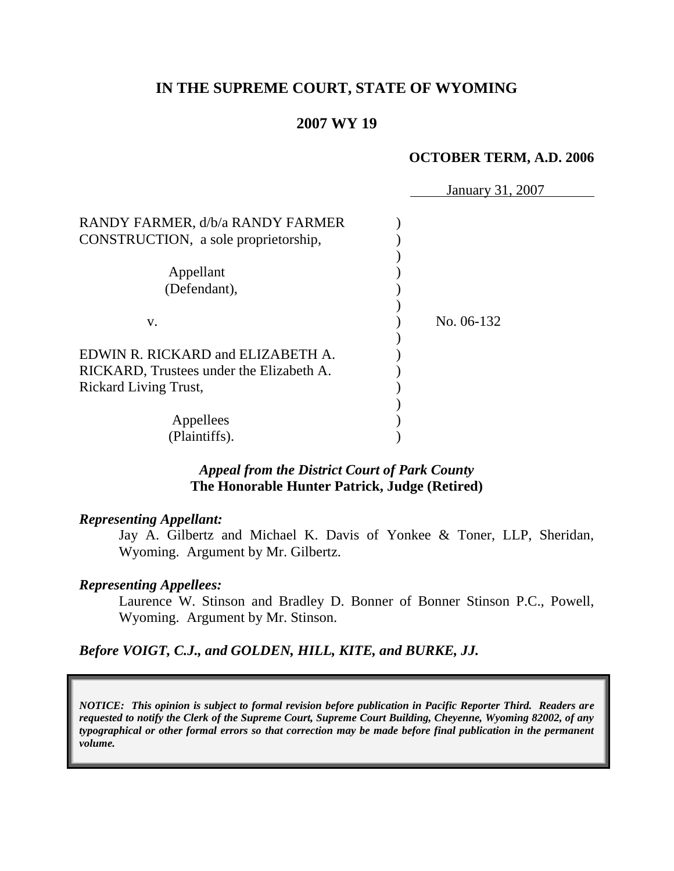# **IN THE SUPREME COURT, STATE OF WYOMING**

#### **2007 WY 19**

#### **OCTOBER TERM, A.D. 2006**

|                                                                          | January 31, 2007 |
|--------------------------------------------------------------------------|------------------|
| RANDY FARMER, d/b/a RANDY FARMER<br>CONSTRUCTION, a sole proprietorship, |                  |
|                                                                          |                  |
| Appellant                                                                |                  |
| (Defendant),                                                             |                  |
|                                                                          |                  |
| V.                                                                       | No. 06-132       |
|                                                                          |                  |
| EDWIN R. RICKARD and ELIZABETH A.                                        |                  |
| RICKARD, Trustees under the Elizabeth A.                                 |                  |
| <b>Rickard Living Trust,</b>                                             |                  |
|                                                                          |                  |
| Appellees                                                                |                  |
| (Plaintiffs).                                                            |                  |

### *Appeal from the District Court of Park County* **The Honorable Hunter Patrick, Judge (Retired)**

#### *Representing Appellant:*

Jay A. Gilbertz and Michael K. Davis of Yonkee & Toner, LLP, Sheridan, Wyoming. Argument by Mr. Gilbertz.

#### *Representing Appellees:*

Laurence W. Stinson and Bradley D. Bonner of Bonner Stinson P.C., Powell, Wyoming. Argument by Mr. Stinson.

*Before VOIGT, C.J., and GOLDEN, HILL, KITE, and BURKE, JJ.*

*NOTICE: This opinion is subject to formal revision before publication in Pacific Reporter Third. Readers are requested to notify the Clerk of the Supreme Court, Supreme Court Building, Cheyenne, Wyoming 82002, of any typographical or other formal errors so that correction may be made before final publication in the permanent volume.*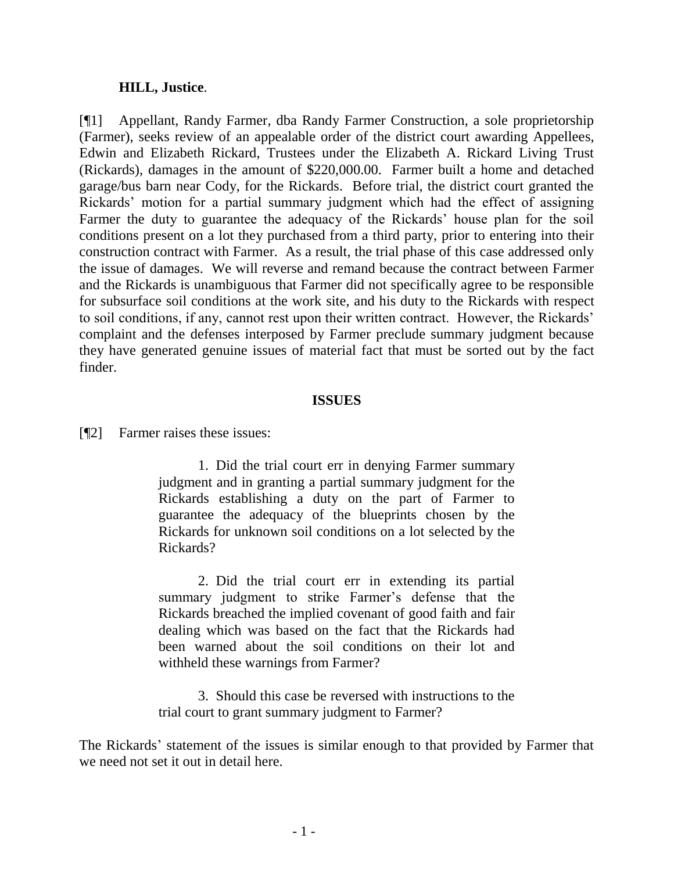#### **HILL, Justice**.

[¶1] Appellant, Randy Farmer, dba Randy Farmer Construction, a sole proprietorship (Farmer), seeks review of an appealable order of the district court awarding Appellees, Edwin and Elizabeth Rickard, Trustees under the Elizabeth A. Rickard Living Trust (Rickards), damages in the amount of \$220,000.00. Farmer built a home and detached garage/bus barn near Cody, for the Rickards. Before trial, the district court granted the Rickards' motion for a partial summary judgment which had the effect of assigning Farmer the duty to guarantee the adequacy of the Rickards' house plan for the soil conditions present on a lot they purchased from a third party, prior to entering into their construction contract with Farmer. As a result, the trial phase of this case addressed only the issue of damages. We will reverse and remand because the contract between Farmer and the Rickards is unambiguous that Farmer did not specifically agree to be responsible for subsurface soil conditions at the work site, and his duty to the Rickards with respect to soil conditions, if any, cannot rest upon their written contract. However, the Rickards' complaint and the defenses interposed by Farmer preclude summary judgment because they have generated genuine issues of material fact that must be sorted out by the fact finder.

#### **ISSUES**

[¶2] Farmer raises these issues:

1. Did the trial court err in denying Farmer summary judgment and in granting a partial summary judgment for the Rickards establishing a duty on the part of Farmer to guarantee the adequacy of the blueprints chosen by the Rickards for unknown soil conditions on a lot selected by the Rickards?

2. Did the trial court err in extending its partial summary judgment to strike Farmer's defense that the Rickards breached the implied covenant of good faith and fair dealing which was based on the fact that the Rickards had been warned about the soil conditions on their lot and withheld these warnings from Farmer?

3. Should this case be reversed with instructions to the trial court to grant summary judgment to Farmer?

The Rickards' statement of the issues is similar enough to that provided by Farmer that we need not set it out in detail here.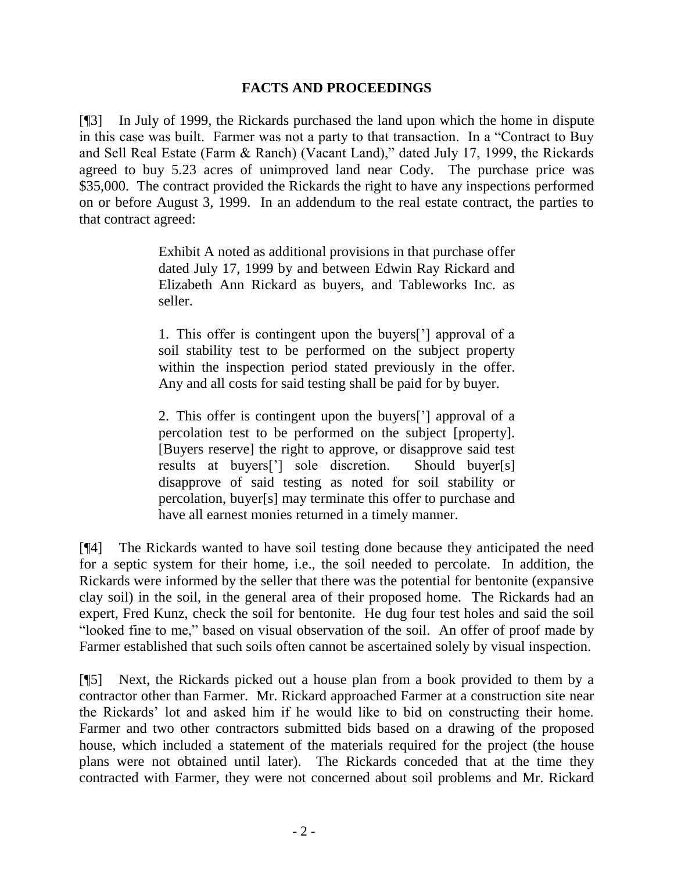## **FACTS AND PROCEEDINGS**

[¶3] In July of 1999, the Rickards purchased the land upon which the home in dispute in this case was built. Farmer was not a party to that transaction. In a "Contract to Buy and Sell Real Estate (Farm & Ranch) (Vacant Land)," dated July 17, 1999, the Rickards agreed to buy 5.23 acres of unimproved land near Cody. The purchase price was \$35,000. The contract provided the Rickards the right to have any inspections performed on or before August 3, 1999. In an addendum to the real estate contract, the parties to that contract agreed:

> Exhibit A noted as additional provisions in that purchase offer dated July 17, 1999 by and between Edwin Ray Rickard and Elizabeth Ann Rickard as buyers, and Tableworks Inc. as seller.

> 1. This offer is contingent upon the buyers['] approval of a soil stability test to be performed on the subject property within the inspection period stated previously in the offer. Any and all costs for said testing shall be paid for by buyer.

> 2. This offer is contingent upon the buyers['] approval of a percolation test to be performed on the subject [property]. [Buyers reserve] the right to approve, or disapprove said test results at buyers['] sole discretion. Should buyer[s] disapprove of said testing as noted for soil stability or percolation, buyer[s] may terminate this offer to purchase and have all earnest monies returned in a timely manner.

[¶4] The Rickards wanted to have soil testing done because they anticipated the need for a septic system for their home, i.e., the soil needed to percolate. In addition, the Rickards were informed by the seller that there was the potential for bentonite (expansive clay soil) in the soil, in the general area of their proposed home. The Rickards had an expert, Fred Kunz, check the soil for bentonite. He dug four test holes and said the soil "looked fine to me," based on visual observation of the soil. An offer of proof made by Farmer established that such soils often cannot be ascertained solely by visual inspection.

[¶5] Next, the Rickards picked out a house plan from a book provided to them by a contractor other than Farmer. Mr. Rickard approached Farmer at a construction site near the Rickards' lot and asked him if he would like to bid on constructing their home. Farmer and two other contractors submitted bids based on a drawing of the proposed house, which included a statement of the materials required for the project (the house plans were not obtained until later). The Rickards conceded that at the time they contracted with Farmer, they were not concerned about soil problems and Mr. Rickard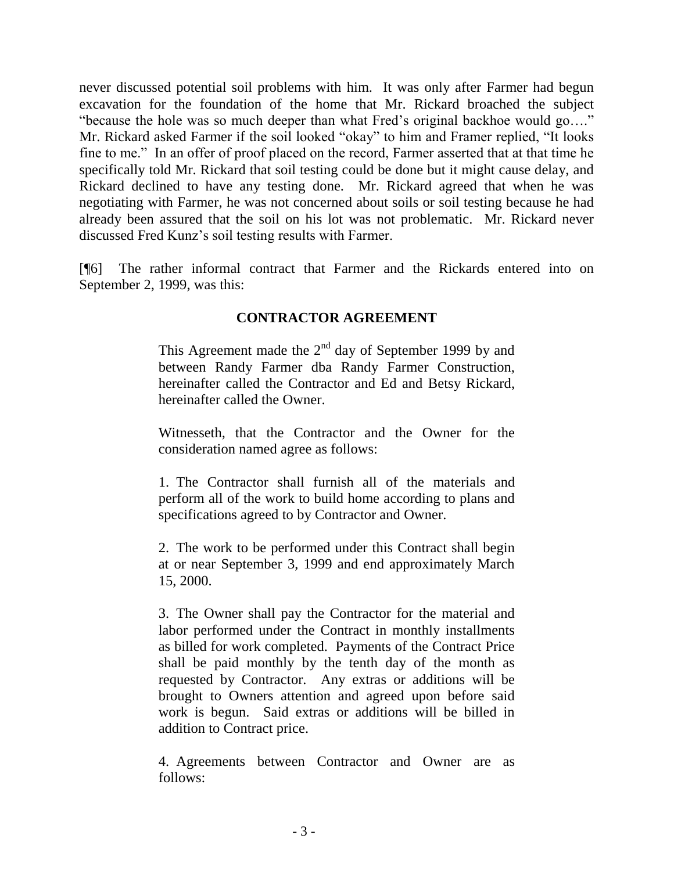never discussed potential soil problems with him. It was only after Farmer had begun excavation for the foundation of the home that Mr. Rickard broached the subject "because the hole was so much deeper than what Fred's original backhoe would go…." Mr. Rickard asked Farmer if the soil looked "okay" to him and Framer replied, "It looks fine to me." In an offer of proof placed on the record, Farmer asserted that at that time he specifically told Mr. Rickard that soil testing could be done but it might cause delay, and Rickard declined to have any testing done. Mr. Rickard agreed that when he was negotiating with Farmer, he was not concerned about soils or soil testing because he had already been assured that the soil on his lot was not problematic. Mr. Rickard never discussed Fred Kunz's soil testing results with Farmer.

[¶6] The rather informal contract that Farmer and the Rickards entered into on September 2, 1999, was this:

# **CONTRACTOR AGREEMENT**

This Agreement made the  $2<sup>nd</sup>$  day of September 1999 by and between Randy Farmer dba Randy Farmer Construction, hereinafter called the Contractor and Ed and Betsy Rickard, hereinafter called the Owner.

Witnesseth, that the Contractor and the Owner for the consideration named agree as follows:

1. The Contractor shall furnish all of the materials and perform all of the work to build home according to plans and specifications agreed to by Contractor and Owner.

2. The work to be performed under this Contract shall begin at or near September 3, 1999 and end approximately March 15, 2000.

3. The Owner shall pay the Contractor for the material and labor performed under the Contract in monthly installments as billed for work completed. Payments of the Contract Price shall be paid monthly by the tenth day of the month as requested by Contractor. Any extras or additions will be brought to Owners attention and agreed upon before said work is begun. Said extras or additions will be billed in addition to Contract price.

4. Agreements between Contractor and Owner are as follows: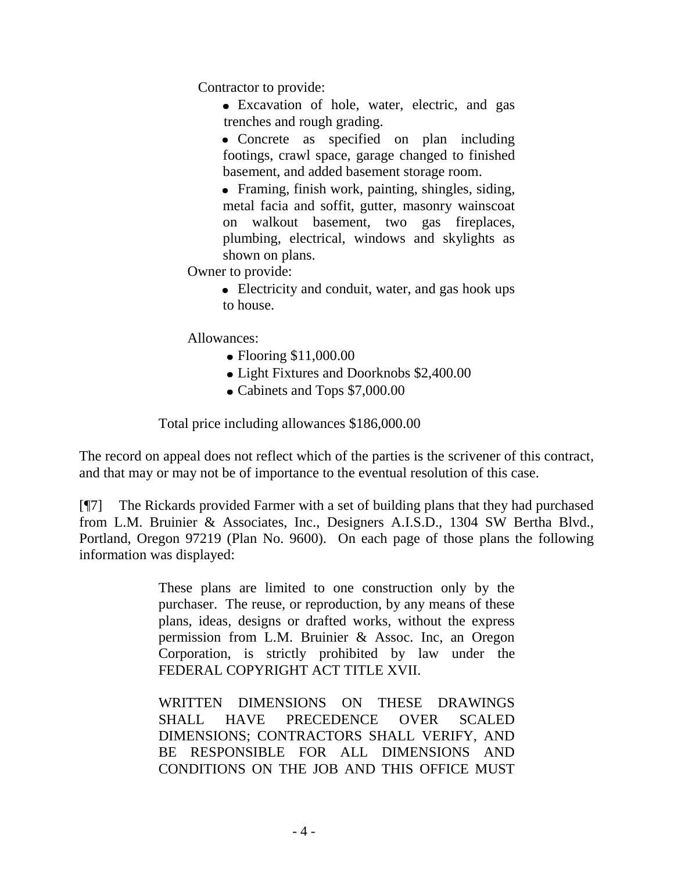Contractor to provide:

- Excavation of hole, water, electric, and gas trenches and rough grading.
- Concrete as specified on plan including footings, crawl space, garage changed to finished basement, and added basement storage room.
- Framing, finish work, painting, shingles, siding, metal facia and soffit, gutter, masonry wainscoat on walkout basement, two gas fireplaces, plumbing, electrical, windows and skylights as shown on plans.
- Owner to provide:
	- Electricity and conduit, water, and gas hook ups to house.

Allowances:

- Flooring \$11,000.00
- Light Fixtures and Doorknobs \$2,400.00
- Cabinets and Tops \$7,000.00

Total price including allowances \$186,000.00

The record on appeal does not reflect which of the parties is the scrivener of this contract, and that may or may not be of importance to the eventual resolution of this case.

[¶7] The Rickards provided Farmer with a set of building plans that they had purchased from L.M. Bruinier & Associates, Inc., Designers A.I.S.D., 1304 SW Bertha Blvd., Portland, Oregon 97219 (Plan No. 9600). On each page of those plans the following information was displayed:

> These plans are limited to one construction only by the purchaser. The reuse, or reproduction, by any means of these plans, ideas, designs or drafted works, without the express permission from L.M. Bruinier & Assoc. Inc, an Oregon Corporation, is strictly prohibited by law under the FEDERAL COPYRIGHT ACT TITLE XVII.

> WRITTEN DIMENSIONS ON THESE DRAWINGS SHALL HAVE PRECEDENCE OVER SCALED DIMENSIONS; CONTRACTORS SHALL VERIFY, AND BE RESPONSIBLE FOR ALL DIMENSIONS AND CONDITIONS ON THE JOB AND THIS OFFICE MUST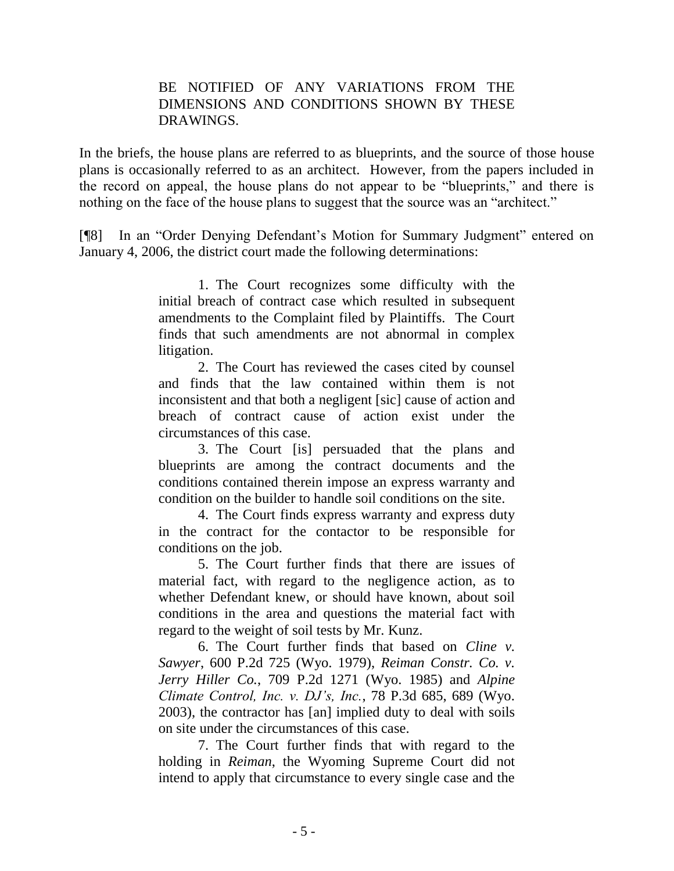## BE NOTIFIED OF ANY VARIATIONS FROM THE DIMENSIONS AND CONDITIONS SHOWN BY THESE DRAWINGS.

In the briefs, the house plans are referred to as blueprints, and the source of those house plans is occasionally referred to as an architect. However, from the papers included in the record on appeal, the house plans do not appear to be "blueprints," and there is nothing on the face of the house plans to suggest that the source was an "architect."

[¶8] In an "Order Denying Defendant's Motion for Summary Judgment" entered on January 4, 2006, the district court made the following determinations:

> 1. The Court recognizes some difficulty with the initial breach of contract case which resulted in subsequent amendments to the Complaint filed by Plaintiffs. The Court finds that such amendments are not abnormal in complex litigation.

> 2. The Court has reviewed the cases cited by counsel and finds that the law contained within them is not inconsistent and that both a negligent [sic] cause of action and breach of contract cause of action exist under the circumstances of this case.

> 3. The Court [is] persuaded that the plans and blueprints are among the contract documents and the conditions contained therein impose an express warranty and condition on the builder to handle soil conditions on the site.

> 4. The Court finds express warranty and express duty in the contract for the contactor to be responsible for conditions on the job.

> 5. The Court further finds that there are issues of material fact, with regard to the negligence action, as to whether Defendant knew, or should have known, about soil conditions in the area and questions the material fact with regard to the weight of soil tests by Mr. Kunz.

> 6. The Court further finds that based on *Cline v. Sawyer*, 600 P.2d 725 (Wyo. 1979), *Reiman Constr. Co. v. Jerry Hiller Co.*, 709 P.2d 1271 (Wyo. 1985) and *Alpine Climate Control, Inc. v. DJ's, Inc.*, 78 P.3d 685, 689 (Wyo. 2003), the contractor has [an] implied duty to deal with soils on site under the circumstances of this case.

> 7. The Court further finds that with regard to the holding in *Reiman*, the Wyoming Supreme Court did not intend to apply that circumstance to every single case and the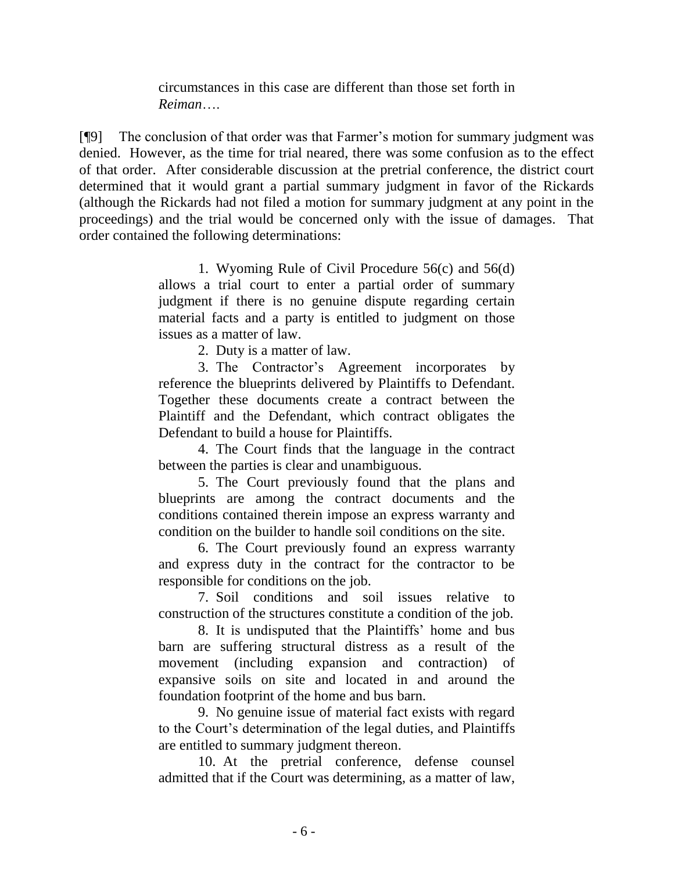circumstances in this case are different than those set forth in *Reiman*….

[¶9] The conclusion of that order was that Farmer's motion for summary judgment was denied. However, as the time for trial neared, there was some confusion as to the effect of that order. After considerable discussion at the pretrial conference, the district court determined that it would grant a partial summary judgment in favor of the Rickards (although the Rickards had not filed a motion for summary judgment at any point in the proceedings) and the trial would be concerned only with the issue of damages. That order contained the following determinations:

> 1. Wyoming Rule of Civil Procedure 56(c) and 56(d) allows a trial court to enter a partial order of summary judgment if there is no genuine dispute regarding certain material facts and a party is entitled to judgment on those issues as a matter of law.

> > 2. Duty is a matter of law.

3. The Contractor's Agreement incorporates by reference the blueprints delivered by Plaintiffs to Defendant. Together these documents create a contract between the Plaintiff and the Defendant, which contract obligates the Defendant to build a house for Plaintiffs.

4. The Court finds that the language in the contract between the parties is clear and unambiguous.

5. The Court previously found that the plans and blueprints are among the contract documents and the conditions contained therein impose an express warranty and condition on the builder to handle soil conditions on the site.

6. The Court previously found an express warranty and express duty in the contract for the contractor to be responsible for conditions on the job.

7. Soil conditions and soil issues relative to construction of the structures constitute a condition of the job.

8. It is undisputed that the Plaintiffs' home and bus barn are suffering structural distress as a result of the movement (including expansion and contraction) of expansive soils on site and located in and around the foundation footprint of the home and bus barn.

9. No genuine issue of material fact exists with regard to the Court's determination of the legal duties, and Plaintiffs are entitled to summary judgment thereon.

10. At the pretrial conference, defense counsel admitted that if the Court was determining, as a matter of law,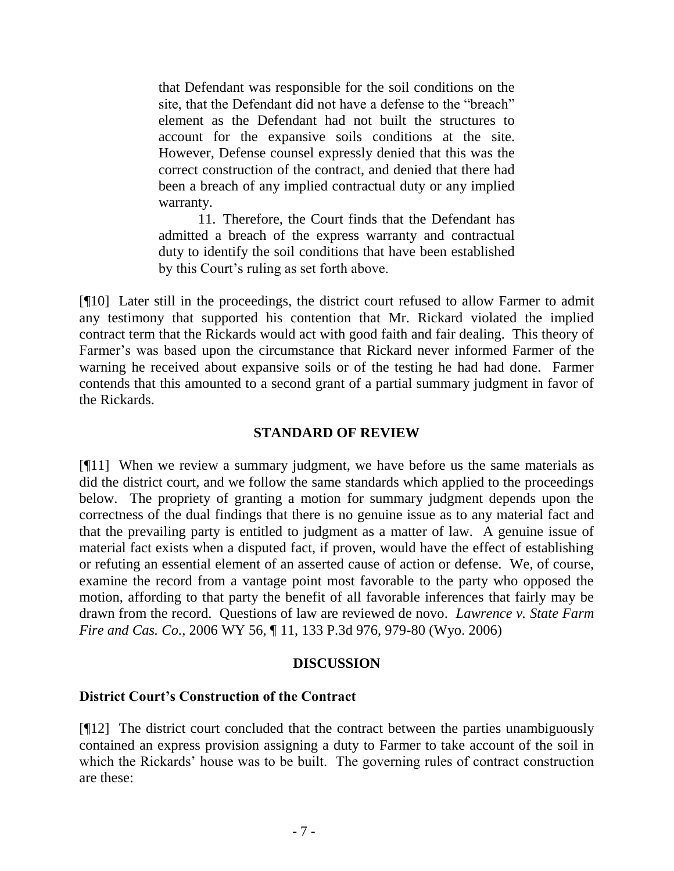that Defendant was responsible for the soil conditions on the site, that the Defendant did not have a defense to the "breach" element as the Defendant had not built the structures to account for the expansive soils conditions at the site. However, Defense counsel expressly denied that this was the correct construction of the contract, and denied that there had been a breach of any implied contractual duty or any implied warranty.

11. Therefore, the Court finds that the Defendant has admitted a breach of the express warranty and contractual duty to identify the soil conditions that have been established by this Court's ruling as set forth above.

[¶10] Later still in the proceedings, the district court refused to allow Farmer to admit any testimony that supported his contention that Mr. Rickard violated the implied contract term that the Rickards would act with good faith and fair dealing. This theory of Farmer's was based upon the circumstance that Rickard never informed Farmer of the warning he received about expansive soils or of the testing he had had done. Farmer contends that this amounted to a second grant of a partial summary judgment in favor of the Rickards.

## **STANDARD OF REVIEW**

[¶11] When we review a summary judgment, we have before us the same materials as did the district court, and we follow the same standards which applied to the proceedings below. The propriety of granting a motion for summary judgment depends upon the correctness of the dual findings that there is no genuine issue as to any material fact and that the prevailing party is entitled to judgment as a matter of law. A genuine issue of material fact exists when a disputed fact, if proven, would have the effect of establishing or refuting an essential element of an asserted cause of action or defense. We, of course, examine the record from a vantage point most favorable to the party who opposed the motion, affording to that party the benefit of all favorable inferences that fairly may be drawn from the record. Questions of law are reviewed de novo. *Lawrence v. State Farm Fire and Cas. Co.*, 2006 WY 56, ¶ 11, 133 P.3d 976, 979-80 (Wyo. 2006)

## **DISCUSSION**

## **District Court's Construction of the Contract**

[¶12] The district court concluded that the contract between the parties unambiguously contained an express provision assigning a duty to Farmer to take account of the soil in which the Rickards' house was to be built. The governing rules of contract construction are these: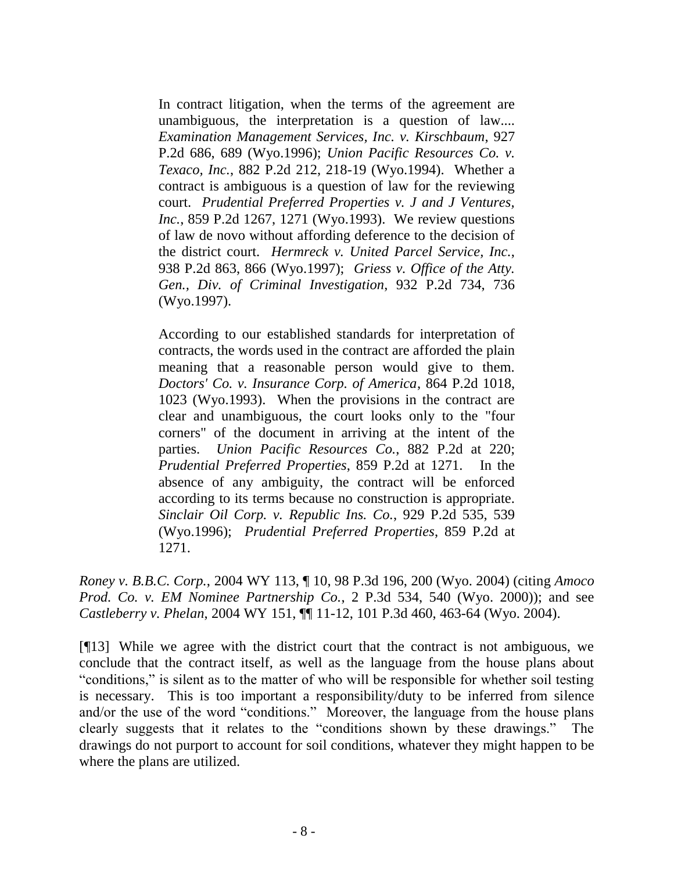In contract litigation, when the terms of the agreement are unambiguous, the interpretation is a question of law.... *Examination Management Services, Inc. v. Kirschbaum*, 927 P.2d 686, 689 (Wyo.1996); *Union Pacific Resources Co. v. Texaco, Inc.*, 882 P.2d 212, 218-19 (Wyo.1994). Whether a contract is ambiguous is a question of law for the reviewing court. *Prudential Preferred Properties v. J and J Ventures, Inc.*, 859 P.2d 1267, 1271 (Wyo.1993). We review questions of law de novo without affording deference to the decision of the district court. *Hermreck v. United Parcel Service, Inc.*, 938 P.2d 863, 866 (Wyo.1997); *Griess v. Office of the Atty. Gen., Div. of Criminal Investigation*, 932 P.2d 734, 736 (Wyo.1997).

According to our established standards for interpretation of contracts, the words used in the contract are afforded the plain meaning that a reasonable person would give to them. *Doctors' Co. v. Insurance Corp. of America*, 864 P.2d 1018, 1023 (Wyo.1993). When the provisions in the contract are clear and unambiguous, the court looks only to the "four corners" of the document in arriving at the intent of the parties. *Union Pacific Resources Co.*, 882 P.2d at 220; *Prudential Preferred Properties*, 859 P.2d at 1271. In the absence of any ambiguity, the contract will be enforced according to its terms because no construction is appropriate. *Sinclair Oil Corp. v. Republic Ins. Co.*, 929 P.2d 535, 539 (Wyo.1996); *Prudential Preferred Properties*, 859 P.2d at 1271.

*Roney v. B.B.C. Corp.*, 2004 WY 113, ¶ 10, 98 P.3d 196, 200 (Wyo. 2004) (citing *Amoco Prod. Co. v. EM Nominee Partnership Co.*, 2 P.3d 534, 540 (Wyo. 2000)); and see *Castleberry v. Phelan*, 2004 WY 151, ¶¶ 11-12, 101 P.3d 460, 463-64 (Wyo. 2004).

[¶13] While we agree with the district court that the contract is not ambiguous, we conclude that the contract itself, as well as the language from the house plans about "conditions," is silent as to the matter of who will be responsible for whether soil testing is necessary. This is too important a responsibility/duty to be inferred from silence and/or the use of the word "conditions." Moreover, the language from the house plans clearly suggests that it relates to the "conditions shown by these drawings." The drawings do not purport to account for soil conditions, whatever they might happen to be where the plans are utilized.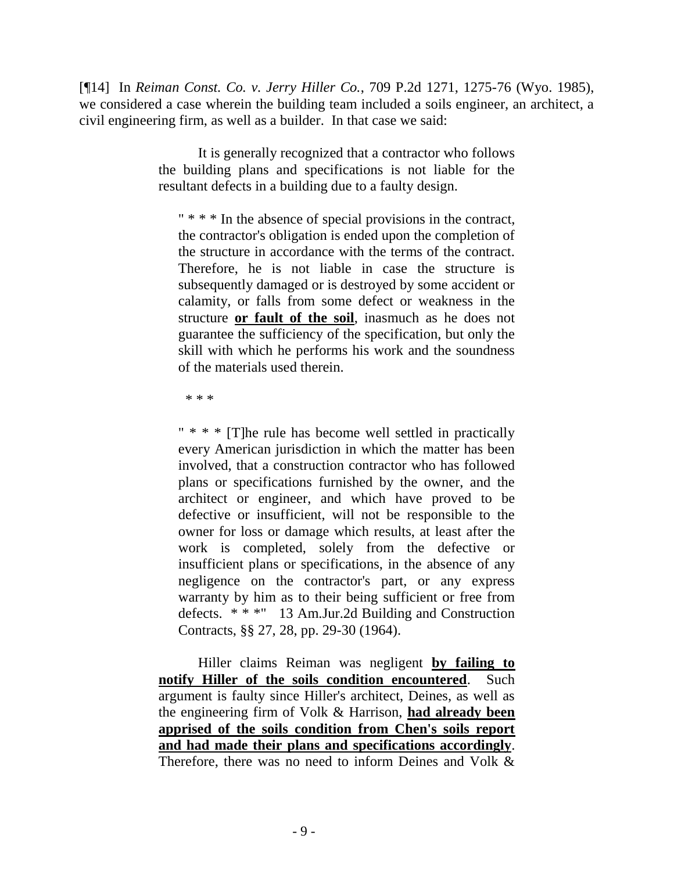[¶14] In *Reiman Const. Co. v. Jerry Hiller Co.*, 709 P.2d 1271, 1275-76 (Wyo. 1985), we considered a case wherein the building team included a soils engineer, an architect, a civil engineering firm, as well as a builder. In that case we said:

> It is generally recognized that a contractor who follows the building plans and specifications is not liable for the resultant defects in a building due to a faulty design.

" \* \* \* In the absence of special provisions in the contract, the contractor's obligation is ended upon the completion of the structure in accordance with the terms of the contract. Therefore, he is not liable in case the structure is subsequently damaged or is destroyed by some accident or calamity, or falls from some defect or weakness in the structure **or fault of the soil**, inasmuch as he does not guarantee the sufficiency of the specification, but only the skill with which he performs his work and the soundness of the materials used therein.

\* \* \*

" \* \* \* [T]he rule has become well settled in practically every American jurisdiction in which the matter has been involved, that a construction contractor who has followed plans or specifications furnished by the owner, and the architect or engineer, and which have proved to be defective or insufficient, will not be responsible to the owner for loss or damage which results, at least after the work is completed, solely from the defective or insufficient plans or specifications, in the absence of any negligence on the contractor's part, or any express warranty by him as to their being sufficient or free from defects. \* \* \*" 13 Am.Jur.2d Building and Construction Contracts, §§ 27, 28, pp. 29-30 (1964).

Hiller claims Reiman was negligent **by failing to notify Hiller of the soils condition encountered**. Such argument is faulty since Hiller's architect, Deines, as well as the engineering firm of Volk & Harrison, **had already been apprised of the soils condition from Chen's soils report and had made their plans and specifications accordingly**. Therefore, there was no need to inform Deines and Volk &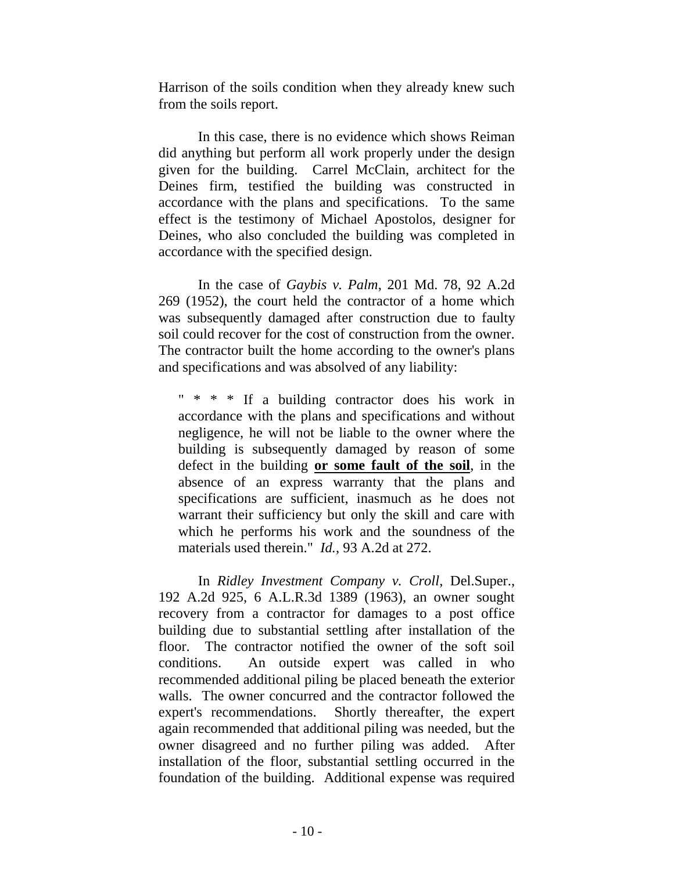Harrison of the soils condition when they already knew such from the soils report.

In this case, there is no evidence which shows Reiman did anything but perform all work properly under the design given for the building. Carrel McClain, architect for the Deines firm, testified the building was constructed in accordance with the plans and specifications. To the same effect is the testimony of Michael Apostolos, designer for Deines, who also concluded the building was completed in accordance with the specified design.

In the case of *Gaybis v. Palm*, 201 Md. 78, 92 A.2d 269 (1952), the court held the contractor of a home which was subsequently damaged after construction due to faulty soil could recover for the cost of construction from the owner. The contractor built the home according to the owner's plans and specifications and was absolved of any liability:

" \* \* \* If a building contractor does his work in accordance with the plans and specifications and without negligence, he will not be liable to the owner where the building is subsequently damaged by reason of some defect in the building **or some fault of the soil**, in the absence of an express warranty that the plans and specifications are sufficient, inasmuch as he does not warrant their sufficiency but only the skill and care with which he performs his work and the soundness of the materials used therein." *Id.*, 93 A.2d at 272.

In *Ridley Investment Company v. Croll*, Del.Super., 192 A.2d 925, 6 A.L.R.3d 1389 (1963), an owner sought recovery from a contractor for damages to a post office building due to substantial settling after installation of the floor. The contractor notified the owner of the soft soil conditions. An outside expert was called in who recommended additional piling be placed beneath the exterior walls. The owner concurred and the contractor followed the expert's recommendations. Shortly thereafter, the expert again recommended that additional piling was needed, but the owner disagreed and no further piling was added. After installation of the floor, substantial settling occurred in the foundation of the building. Additional expense was required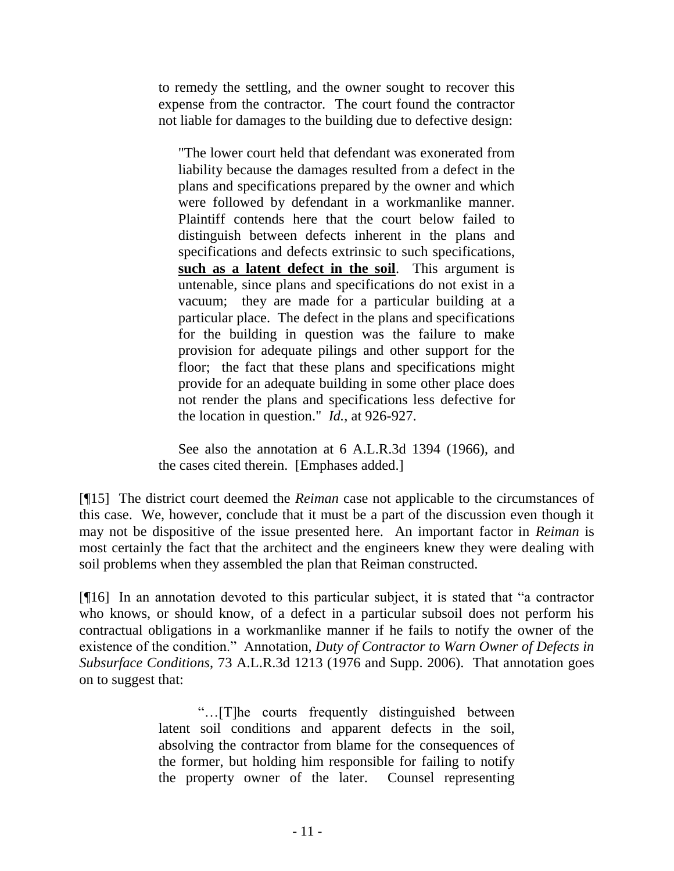to remedy the settling, and the owner sought to recover this expense from the contractor. The court found the contractor not liable for damages to the building due to defective design:

"The lower court held that defendant was exonerated from liability because the damages resulted from a defect in the plans and specifications prepared by the owner and which were followed by defendant in a workmanlike manner. Plaintiff contends here that the court below failed to distinguish between defects inherent in the plans and specifications and defects extrinsic to such specifications, **such as a latent defect in the soil**. This argument is untenable, since plans and specifications do not exist in a vacuum; they are made for a particular building at a particular place. The defect in the plans and specifications for the building in question was the failure to make provision for adequate pilings and other support for the floor; the fact that these plans and specifications might provide for an adequate building in some other place does not render the plans and specifications less defective for the location in question." *Id.*, at 926-927.

See also the annotation at 6 A.L.R.3d 1394 (1966), and the cases cited therein. [Emphases added.]

[¶15] The district court deemed the *Reiman* case not applicable to the circumstances of this case. We, however, conclude that it must be a part of the discussion even though it may not be dispositive of the issue presented here. An important factor in *Reiman* is most certainly the fact that the architect and the engineers knew they were dealing with soil problems when they assembled the plan that Reiman constructed.

[¶16] In an annotation devoted to this particular subject, it is stated that "a contractor who knows, or should know, of a defect in a particular subsoil does not perform his contractual obligations in a workmanlike manner if he fails to notify the owner of the existence of the condition." Annotation, *Duty of Contractor to Warn Owner of Defects in Subsurface Conditions*, 73 A.L.R.3d 1213 (1976 and Supp. 2006). That annotation goes on to suggest that:

> "…[T]he courts frequently distinguished between latent soil conditions and apparent defects in the soil, absolving the contractor from blame for the consequences of the former, but holding him responsible for failing to notify the property owner of the later. Counsel representing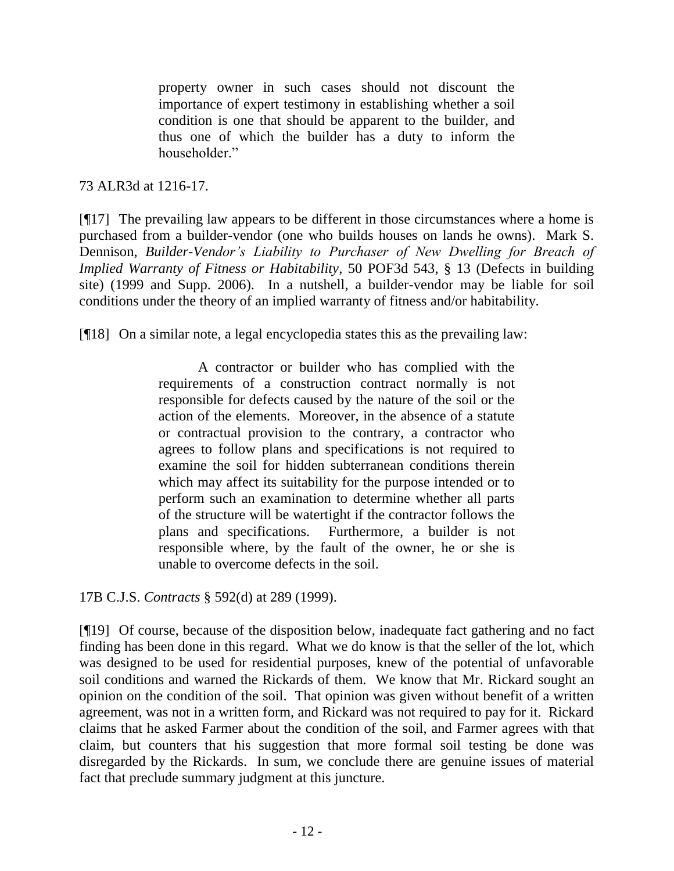property owner in such cases should not discount the importance of expert testimony in establishing whether a soil condition is one that should be apparent to the builder, and thus one of which the builder has a duty to inform the householder."

73 ALR3d at 1216-17.

[¶17] The prevailing law appears to be different in those circumstances where a home is purchased from a builder-vendor (one who builds houses on lands he owns). Mark S. Dennison, *Builder-Vendor's Liability to Purchaser of New Dwelling for Breach of Implied Warranty of Fitness or Habitability*, 50 POF3d 543, § 13 (Defects in building site) (1999 and Supp. 2006). In a nutshell, a builder-vendor may be liable for soil conditions under the theory of an implied warranty of fitness and/or habitability.

[¶18] On a similar note, a legal encyclopedia states this as the prevailing law:

A contractor or builder who has complied with the requirements of a construction contract normally is not responsible for defects caused by the nature of the soil or the action of the elements. Moreover, in the absence of a statute or contractual provision to the contrary, a contractor who agrees to follow plans and specifications is not required to examine the soil for hidden subterranean conditions therein which may affect its suitability for the purpose intended or to perform such an examination to determine whether all parts of the structure will be watertight if the contractor follows the plans and specifications. Furthermore, a builder is not responsible where, by the fault of the owner, he or she is unable to overcome defects in the soil.

17B C.J.S. *Contracts* § 592(d) at 289 (1999).

[¶19] Of course, because of the disposition below, inadequate fact gathering and no fact finding has been done in this regard. What we do know is that the seller of the lot, which was designed to be used for residential purposes, knew of the potential of unfavorable soil conditions and warned the Rickards of them. We know that Mr. Rickard sought an opinion on the condition of the soil. That opinion was given without benefit of a written agreement, was not in a written form, and Rickard was not required to pay for it. Rickard claims that he asked Farmer about the condition of the soil, and Farmer agrees with that claim, but counters that his suggestion that more formal soil testing be done was disregarded by the Rickards. In sum, we conclude there are genuine issues of material fact that preclude summary judgment at this juncture.